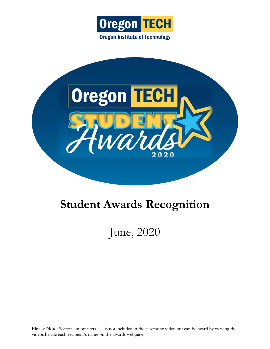



# **Student Awards Recognition**

June, 2020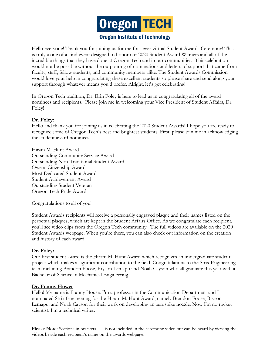

# **Oregon Institute of Technology**

Hello everyone! Thank you for joining us for the first-ever virtual Student Awards Ceremony! This is truly a one of a kind event designed to honor our 2020 Student Award Winners and all of the incredible things that they have done at Oregon Tech and in our communities. This celebration would not be possible without the outpouring of nominations and letters of support that came from faculty, staff, fellow students, and community members alike. The Student Awards Commission would love your help in congratulating these excellent students so please share and send along your support through whatever means you'd prefer. Alright, let's get celebrating!

In Oregon Tech tradition, Dr. Erin Foley is here to lead us in congratulating all of the award nominees and recipients. Please join me in welcoming your Vice President of Student Affairs, Dr. Foley!

## **Dr. Foley:**

Hello and thank you for joining us in celebrating the 2020 Student Awards! I hope you are ready to recognize some of Oregon Tech's best and brightest students. First, please join me in acknowledging the student award nominees.

Hiram M. Hunt Award Outstanding Community Service Award Outstanding Non-Traditional Student Award Owens Citizenship Award Most Dedicated Student Award Student Achievement Award Outstanding Student Veteran Oregon Tech Pride Award

Congratulations to all of you!

Student Awards recipients will receive a personally engraved plaque and their names listed on the perpetual plaques, which are kept in the Student Affairs Office. As we congratulate each recipient, you'll see video clips from the Oregon Tech community. The full videos are available on the 2020 Student Awards webpage. When you're there, you can also check out information on the creation and history of each award.

## **Dr. Foley:**

Our first student award is the Hiram M. Hunt Award which recognizes an undergraduate student project which makes a significant contribution to the field. Congratulations to the Strix Engineering team including Brandon Foose, Bryson Lemapu and Noah Cayson who all graduate this year with a Bachelor of Science in Mechanical Engineering.

## **Dr. Franny Howes**

Hello! My name is Franny House. I'm a professor in the Communication Department and I nominated Strix Engineering for the Hiram M. Hunt Award, namely Brandon Foose, Bryson Lemapu, and Noah Cayson for their work on developing an aerospike nozzle. Now I'm no rocket scientist. I'm a technical writer.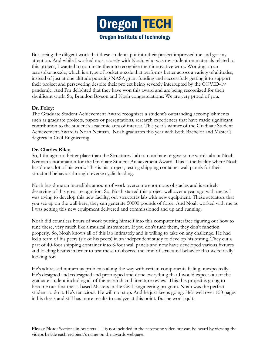

But seeing the diligent work that these students put into their project impressed me and got my attention. And while I worked most closely with Noah, who was my student on materials related to this project, I wanted to nominate them to recognize their innovative work. Working on an aerospike nozzle, which is a type of rocket nozzle that performs better across a variety of altitudes, instead of just at one altitude pursuing NASA grant funding and successfully getting it to support their project and persevering despite their project being severely interrupted by the COVID-19 pandemic. And I'm delighted that they have won this award and are being recognized for their significant work. So, Brandon Bryson and Noah congratulations. We are very proud of you.

# **Dr. Foley:**

The Graduate Student Achievement Award recognizes a student's outstanding accomplishments such as graduate projects, papers or presentations, research experiences that have made significant contribution to the student's academic area of interest. This year's winner of the Graduate Student Achievement Award is Noah Neiman. Noah graduates this year with both Bachelor and Master's degrees in Civil Engineering.

# **Dr. Charles Riley**

So, I thought no better place than the Structures Lab to nominate or give some words about Noah Neiman's nomination for the Graduate Student Achievement Award. This is the facility where Noah has done a lot of his work. This is his project, testing shipping container wall panels for their structural behavior through reverse cyclic loading.

Noah has done an incredible amount of work overcome enormous obstacles and is entirely deserving of this great recognition. So, Noah started this project well over a year ago with me as I was trying to develop this new facility, our structures lab with new equipment. These actuators that you see up on the wall here, they can generate 50000 pounds of force. And Noah worked with me as I was getting this new equipment delivered and commissioned and up and running.

Noah did countless hours of work putting himself into this computer interface figuring out how to tune these, very much like a musical instrument. If you don't tune them, they don't function properly. So, Noah knows all of this lab intimately and is willing to take on any challenge. He had led a team of his peers (six of his peers) in an independent study to develop his testing. They cut a part of 40-foot shipping container into 8-foot wall panels and now have developed various fixtures and loading beams in order to test these to observe the kind of structural behavior that we're really looking for.

He's addressed numerous problems along the way with certain components failing unexpectedly. He's designed and redesigned and prototyped and done everything that I would expect out of the graduate student including all of the research and literature review. This this project is going to become our first thesis-based Masters in the Civil Engineering program. Noah was the perfect student to do it. He's tenacious. He will not stop. And he just keeps going. He's well over 150 pages in his thesis and still has more results to analyze at this point. But he won't quit.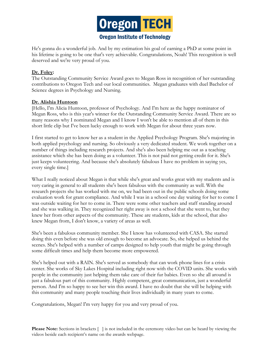

He's gonna do a wonderful job. And by my estimation his goal of earning a PhD at some point in his lifetime is going to be one that's very achievable. Congratulations, Noah! This recognition is well deserved and we're very proud of you.

# **Dr. Foley:**

The Outstanding Community Service Award goes to Megan Ross in recognition of her outstanding contributions to Oregon Tech and our local communities. Megan graduates with duel Bachelor of Science degrees in Psychology and Nursing.

## **Dr. Alishia Huntoon**

[Hello, I'm Alicia Huntoon, professor of Psychology. And I'm here as the happy nominator of Megan Ross, who is this year's winner for the Outstanding Community Service Award. There are so many reasons why I nominated Megan and I know I won't be able to mention all of them in this short little clip but I've been lucky enough to work with Megan for about three years now.

I first started to get to know her as a student in the Applied Psychology Program. She's majoring in both applied psychology and nursing. So obviously a very dedicated student. We work together on a number of things including research projects. And she's also been helping me out as a teaching assistance which she has been doing as a volunteer. This is not paid not getting credit for it. She's just keeps volunteering. And because she's absolutely fabulous I have no problem in saying yes, every single time.]

What I really noticed about Megan is that while she's great and works great with my students and is very caring in general to all students she's been fabulous with the community as well. With the research projects she has worked with me on, we had been out in the public schools doing some evaluation work for grant compliance. And while I was in a school one day waiting for her to come I was outside waiting for her to come in. There were some other teachers and staff standing around and she was walking in. They recognized her right away is not a school that she went to, but they knew her from other aspects of the community. These are students, kids at the school, that also knew Megan from, I don't know, a variety of areas as well.

She's been a fabulous community member. She I know has volunteered with CASA. She started doing this even before she was old enough to become an advocate. So, she helped us behind the scenes. She's helped with a number of camps designed to help youth that might be going through some difficult times and help them become more empowered.

She's helped out with a RAIN. She's served as somebody that can work phone lines for a crisis center. She works of Sky Lakes Hospital including right now with the COVID units. She works with people in the community just helping them take care of their fur babies. Even so she all around is just a fabulous part of this community. Highly competent, great communication, just a wonderful person. And I'm so happy to see her win this award. I have no doubt that she will be helping with this community and many people touching their lives individually in many years to come.

Congratulations, Megan! I'm very happy for you and very proud of you.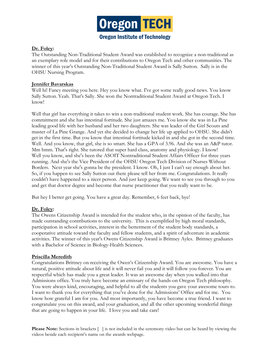

# **Dr. Foley:**

The Outstanding Non-Traditional Student Award was established to recognize a non-traditional as an exemplary role model and for their contributions to Oregon Tech and other communities. The winner of this year's Outstanding Non-Traditional Student Award is Sally Sutton. Sally is in the OHSU Nursing Program.

# **Jennifer Bavarskas**

Well hi! Fancy meeting you here. Hey you know what. I've got some really good news. You know Sally Sutton. Yeah. That's Sally. She won the Nontraditional Student Award at Oregon Tech. I know!

Well that girl has everything it takes to win a non-traditional student work. She has courage. She has commitment and she has intestinal fortitude. She just amazes me. You know she was in La Pine leading good life with her husband and her two daughters. She was leader of the Girl Scouts and master of La Pine Grange. And yet she decided to change her life up applied to OHSU. She didn't get in the first time. But you know that intestinal fortitude kicked in and she got in the second time. Well. And you know, that girl, she is so smart. She has a GPA of 3.96. And she was an A&P tutor. Mm hmm. That's right. She tutored that super hard class, anatomy and physiology. I know! Well you know, and she's been the ASOIT Nontraditional Student Affairs Officer for three years running. And she's the Vice President of the OHSU Oregon Tech Division of Nurses Without Borders. Next year she's gonna be the president. I know. Oh, I just I can't say enough about her. So, if you happen to see Sally Sutton out there please tell her from me. Congratulations. It really couldn't have happened to a nicer person. And just keep going. We want to see you through to you and get that doctor degree and become that nurse practitioner that you really want to be.

But hey I better get going. You have a great day. Remember, 6 feet back, bye!

# **Dr. Foley:**

The Owens Citizenship Award is intended for the student who, in the opinion of the faculty, has made outstanding contributions to the university. This is exemplified by high moral standards, participation in school activities, interest in the betterment of the student body standards, a cooperative attitude toward the faculty and fellow students, and a spirit of adventure in academic activities. The winner of this year's Owens Citizenship Award is Brittney Ayles. Brittney graduates with a Bachelor of Science in Biology-Health Sciences.

## **Priscilla Meredith**

Congratulations Brittney on receiving the Owen's Citizenship Award. You are awesome. You have a natural, positive attitude about life and it will never fail you and it will follow you forever. You are respectful which has made you a great leader. It was an awesome day when you walked into that Admissions office. You truly have become an emissary of the hands-on Oregon Tech philosophy. You were always kind, encouraging, and helpful to all the students you gave your awesome tours to. I want to thank you for everything that you've done for the Admissions' Office and for me. You know how grateful I am for you. And most importantly, you have become a true friend. I want to congratulate you on this award, and your graduation, and all the other upcoming wonderful things that are going to happen in your life. I love you and take care!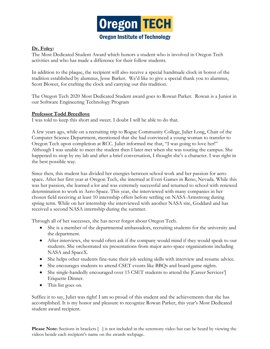

# **Dr. Foley:**

The Most Dedicated Student Award which honors a student who is involved in Oregon Tech activities and who has made a difference for their follow students.

In addition to the plaque, the recipient will also receive a special handmade clock in honor of the tradition established by alumnus, Jesse Barker. We'd like to give a special thank you to alumnus, Scott Blower, for crafting the clock and carrying out this tradition.

The Oregon Tech 2020 Most Dedicated Student award goes to Rowan Parker. Rowan is a Junior in our Software Engineering Technology Program

# **Professor Todd Breedlove**

I was told to keep this short and sweet. I doubt I will be able to do that.

A few years ago, while on a recruiting trip to Rogue Community College, Juliet Long, Chair of the Computer Science Department, mentioned that she had convinced a young woman to transfer to Oregon Tech upon completion at RCC. Juliet informed me that, "I was going to love her!" Although I was unable to meet the student then I later met when she was touring the campus. She happened to stop by my lab and after a brief conversation, I thought she's a character. I was right in the best possible way.

Since then, this student has divided her energies between school work and her passion for aerospace. After her first year at Oregon Tech, she interned at Everi Games in Reno, Nevada. While this was her passion, she learned a lot and was extremely successful and returned to school with renewed determination to work in Aero-Space. This year, she interviewed with many companies in her chosen field receiving at least 10 internship offers before settling on NASA-Armstrong during spring term. While on her internship she interviewed with another NASA site, Goddard and has received a second NASA internship during the summer.

Through all of her successes, she has never forgot about Oregon Tech.

- She is a member of the departmental ambassadors, recruiting students for the university and the department.
- After interviews, she would often ask if the company would mind if they would speak to our students. She orchestrated six presentations from major aero-space organizations including NASA and SpaceX.
- She helps other students fine-tune their job seeking skills with interview and resume advice.
- She encourages students to attend CSET events like BBQs and board game nights.
- She single-handedly encouraged over 15 CSET students to attend the [Career Services'] Etiquette Dinner.
- This list goes on.

Suffice it to say, Juliet was right! I am so proud of this student and the achievements that she has accomplished. It is my honor and pleasure to recognize Rowan Parker, this year's Most Dedicated student award recipient.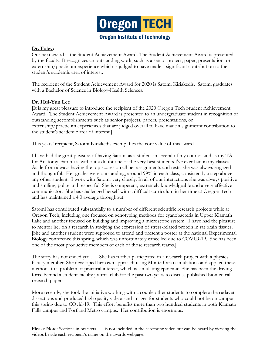

# **Dr. Foley:**

Our next award is the Student Achievement Award. The Student Achievement Award is presented by the faculty. It recognizes an outstanding work, such as a senior project, paper, presentation, or externship/practicum experience which is judged to have made a significant contribution to the student's academic area of interest.

The recipient of the Student Achievement Award for 2020 is Satomi Kiriakedis. Satomi graduates with a Bachelor of Science in Biology-Health Sciences.

# **Dr. Hui-Yun Lee**

[It is my great pleasure to introduce the recipient of the 2020 Oregon Tech Student Achievement Award. The Student Achievement Award is presented to an undergraduate student in recognition of outstanding accomplishments such as senior projects, papers, presentations, or externship/practicum experiences that are judged overall to have made a significant contribution to the student's academic area of interest.]

This years' recipient, Satomi Kiriakedis exemplifies the core value of this award.

I have had the great pleasure of having Satomi as a student in several of my courses and as my TA for Anatomy. Satomi is without a doubt one of the very best students I've ever had in my classes. Aside from always having the top scores on all her assignments and tests, she was always engaged and thoughtful. Her grades were outstanding, around 99% in each class, consistently a step above any other student. I work with Satomi very closely. In all of our interactions she was always positive and smiling, polite and respectful. She is competent, extremely knowledgeable and a very effective communicator. She has challenged herself with a difficult curriculum in her time at Oregon Tech and has maintained a 4.0 average throughout.

Satomi has contributed substantially to a number of different scientific research projects while at Oregon Tech; including one focused on genotyping methods for cyanobacteria in Upper Klamath Lake and another focused on building and improving a microscope system. I have had the pleasure to mentor her on a research in studying the expression of stress-related protein in rat brain tissues. [She and another student were supposed to attend and present a poster at the national Experimental Biology conference this spring, which was unfortunately cancelled due to COVID-19. She has been one of the most productive members of each of those research teams.]

The story has not ended yet……She has further participated in a research project with a physics faculty member. She developed her own approach using Monte Carlo simulations and applied these methods to a problem of practical interest, which is simulating epidemic. She has been the driving force behind a student-faculty journal club for the past two years to discuss published biomedical research papers.

More recently, she took the initiative working with a couple other students to complete the cadaver dissections and produced high quality videos and images for students who could not be on campus this spring due to COvid-19. This effort benefits more than two hundred students in both Klamath Falls campus and Portland Metro campus. Her contribution is enormous.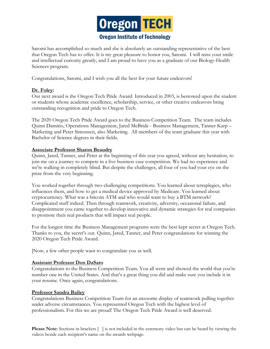

Satomi has accomplished so much and she is absolutely an outstanding representative of the best that Oregon Tech has to offer. It is my great pleasure to honor you, Satomi. I will miss your smile and intellectual curiosity greatly, and I am proud to have you as a graduate of our Biology-Health Sciences program.

Congratulations, Satomi, and I wish you all the best for your future endeavors!

# **Dr. Foley:**

Our next award is the Oregon Tech Pride Award. Introduced in 2003, is bestowed upon the student or students whose academic excellence, scholarship, service, or other creative endeavors bring outstanding recognition and pride to Oregon Tech.

The 2020 Oregon Tech Pride Award goes to the Business Competition Team. The team includes Quinn Damitio, Operations Management, Jared McBride - Business Management, Tanner Karp – Marketing and Peter Simonsen, also Marketing. All members of the team graduate this year with Bachelor of Science degrees in their fields.

## **Associate Professor Sharon Beaudry**

Quinn, Jared, Tanner, and Peter at the beginning of this year you agreed, without any hesitation, to join me on a journey to compete in a live business case competition. We had no experience and we're walking in completely blind. But despite the challenges, all four of you had your eye on the prize from the very beginning.

You worked together through two challenging competitions. You learned about tetraplegics, who influences them, and how to get a medical device approved by Medicare. You learned about cryptocurrency. What was a bitcoin ATM and who would want to buy a BTM network? Complicated stuff indeed. Then through teamwork, creativity, adversity, occasional failure, and disappointment you came together to develop innovative and dynamic strategies for real companies to promote their real products that will impact real people.

For the longest time the Business Management programs were the best kept secret at Oregon Tech. Thanks to you, the secret's out. Quinn, Jared, Tanner, and Peter congratulations for winning the 2020 Oregon Tech Pride Award.

[Now, a few other people want to congratulate you as well.

## **Assistant Professor Don DaSaro**

Congratulations to the Business Competition Team. You all went and showed the world that you're number one in the United States. And that's a great thing you did and make sure you include it in your resume. Once again, congratulations.

#### **Professor Sandra Bailey**

Congratulations Business Competition Team for an awesome display of teamwork pulling together under adverse circumstances. You represented Oregon Tech with the highest level of professionalism. For this we are proud! The Oregon Tech Pride Award is well deserved.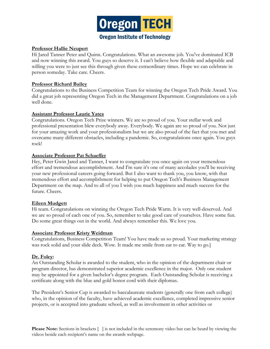

## **Professor Hallie Neupert**

Hi Jared Tanner Peter and Quinn. Congratulations. What an awesome job. You've dominated ICB and now winning this award. You guys so deserve it. I can't believe how flexible and adaptable and willing you were to just see this through given these extraordinary times. Hope we can celebrate in person someday. Take care. Cheers.

# **Professor Richard Bailey**

Congratulations to the Business Competition Team for winning the Oregon Tech Pride Award. You did a great job representing Oregon Tech in the Management Department. Congratulations on a job well done.

# **Assistant Professor Laurie Yates**

Congratulations. Oregon Tech Prize winners. We are so proud of you. Your stellar work and professional presentation blew everybody away. Everybody. We again are so proud of you. Not just for your amazing work and your professionalism but we are also proud of the fact that you met and overcame many different obstacles, including a pandemic. So, congratulations once again. You guys rock!

# **Associate Professor Pat Schaeffer**

Hey, Peter Gwin Jared and Tanner, I want to congratulate you once again on your tremendous effort and tremendous accomplishment. And I'm sure it's one of many accolades you'll be receiving your new professional careers going forward. But I also want to thank you, you know, with that tremendous effort and accomplishment for helping to put Oregon Tech's Business Management Department on the map. And to all of you I wish you much happiness and much success for the future. Cheers.

## **Eileen Mudgett**

Hi team. Congratulations on winning the Oregon Tech Pride Warm. It is very well-deserved. And we are so proud of each one of you. So, remember to take good care of yourselves. Have some fun. Do some great things out in the world. And always remember this. We love you.

## **Associate Professor Kristy Weidman**

Congratulations, Business Competition Team! You have made us so proud. Your marketing strategy was rock solid and your slide deck. Wow. It made me smile from ear to ear. Way to go.]

# **Dr. Foley:**

An Outstanding Scholar is awarded to the student, who in the opinion of the department chair or program director, has demonstrated superior academic excellence in the major. Only one student may be appointed for a given bachelor's degree program. Each Outstanding Scholar is receiving a certificate along with the blue and gold honor cord with their diplomas.

The President's Senior Cup is awarded to baccalaureate students (generally one from each college) who, in the opinion of the faculty, have achieved academic excellence, completed impressive senior projects, or is accepted into graduate school, as well as involvement in other activities or